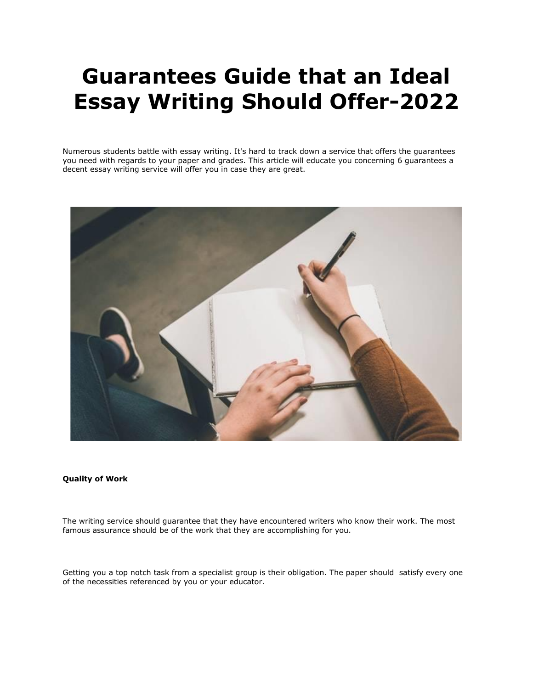# **Guarantees Guide that an Ideal Essay Writing Should Offer-2022**

Numerous students battle with essay writing. It's hard to track down a service that offers the guarantees you need with regards to your paper and grades. This article will educate you concerning 6 guarantees a decent essay writing service will offer you in case they are great.



## **Quality of Work**

The writing service should guarantee that they have encountered writers who know their work. The most famous assurance should be of the work that they are accomplishing for you.

Getting you a top notch task from a specialist group is their obligation. The paper should satisfy every one of the necessities referenced by you or your educator.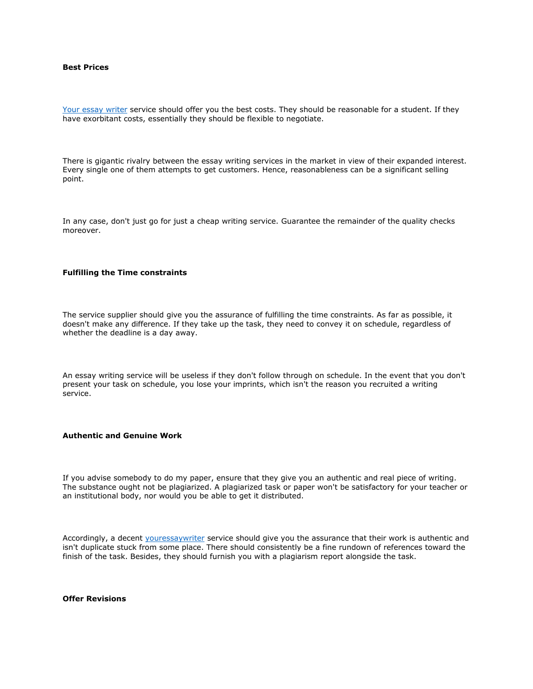## **Best Prices**

[Your essay writer](https://youressaywriter.net/essay-writing-service) service should offer you the best costs. They should be reasonable for a student. If they have exorbitant costs, essentially they should be flexible to negotiate.

There is gigantic rivalry between the essay writing services in the market in view of their expanded interest. Every single one of them attempts to get customers. Hence, reasonableness can be a significant selling point.

In any case, don't just go for just a cheap writing service. Guarantee the remainder of the quality checks moreover.

#### **Fulfilling the Time constraints**

The service supplier should give you the assurance of fulfilling the time constraints. As far as possible, it doesn't make any difference. If they take up the task, they need to convey it on schedule, regardless of whether the deadline is a day away.

An essay writing service will be useless if they don't follow through on schedule. In the event that you don't present your task on schedule, you lose your imprints, which isn't the reason you recruited a writing service.

## **Authentic and Genuine Work**

If you advise somebody to do my paper, ensure that they give you an authentic and real piece of writing. The substance ought not be plagiarized. A plagiarized task or paper won't be satisfactory for your teacher or an institutional body, nor would you be able to get it distributed.

Accordingly, a decent [youressaywriter](https://youressaywriter.net/essay-writing-service) service should give you the assurance that their work is authentic and isn't duplicate stuck from some place. There should consistently be a fine rundown of references toward the finish of the task. Besides, they should furnish you with a plagiarism report alongside the task.

**Offer Revisions**